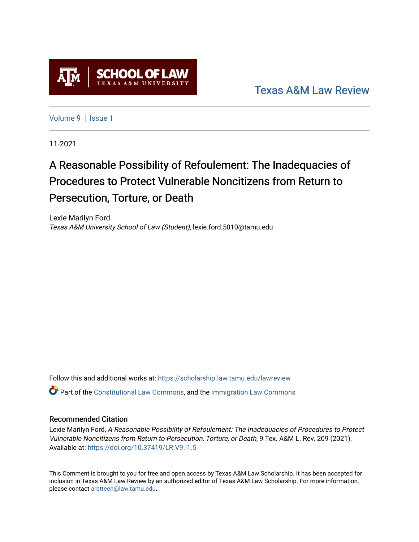

[Texas A&M Law Review](https://scholarship.law.tamu.edu/lawreview) 

[Volume 9](https://scholarship.law.tamu.edu/lawreview/vol9) | Issue 1

11-2021

# A Reasonable Possibility of Refoulement: The Inadequacies of Procedures to Protect Vulnerable Noncitizens from Return to Persecution, Torture, or Death

Lexie Marilyn Ford Texas A&M University School of Law (Student), lexie.ford.5010@tamu.edu

Follow this and additional works at: [https://scholarship.law.tamu.edu/lawreview](https://scholarship.law.tamu.edu/lawreview?utm_source=scholarship.law.tamu.edu%2Flawreview%2Fvol9%2Fiss1%2F8&utm_medium=PDF&utm_campaign=PDFCoverPages) **P** Part of the [Constitutional Law Commons,](http://network.bepress.com/hgg/discipline/589?utm_source=scholarship.law.tamu.edu%2Flawreview%2Fvol9%2Fiss1%2F8&utm_medium=PDF&utm_campaign=PDFCoverPages) and the Immigration Law Commons

# Recommended Citation

Lexie Marilyn Ford, A Reasonable Possibility of Refoulement: The Inadequacies of Procedures to Protect Vulnerable Noncitizens from Return to Persecution, Torture, or Death, 9 Tex. A&M L. Rev. 209 (2021). Available at:<https://doi.org/10.37419/LR.V9.I1.5>

This Comment is brought to you for free and open access by Texas A&M Law Scholarship. It has been accepted for inclusion in Texas A&M Law Review by an authorized editor of Texas A&M Law Scholarship. For more information, please contact [aretteen@law.tamu.edu.](mailto:aretteen@law.tamu.edu)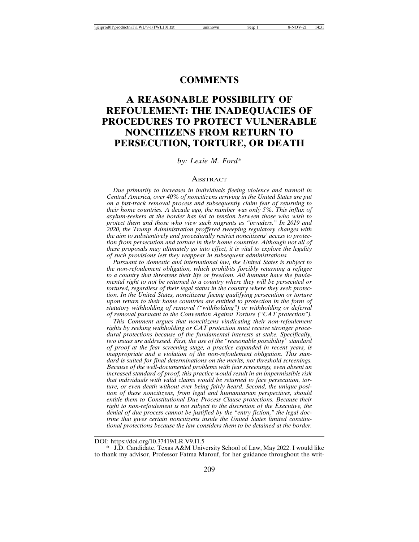# **COMMENTS**

# **A REASONABLE POSSIBILITY OF REFOULEMENT: THE INADEQUACIES OF PROCEDURES TO PROTECT VULNERABLE NONCITIZENS FROM RETURN TO PERSECUTION, TORTURE, OR DEATH**

#### *by: Lexie M. Ford\**

#### **ABSTRACT**

*Due primarily to increases in individuals fleeing violence and turmoil in Central America, over 40% of noncitizens arriving in the United States are put on a fast-track removal process and subsequently claim fear of returning to their home countries. A decade ago, the number was only 5%. This influx of asylum-seekers at the border has led to tension between those who wish to protect them and those who view such migrants as "invaders." In 2019 and 2020, the Trump Administration proffered sweeping regulatory changes with the aim to substantively and procedurally restrict noncitizens' access to protection from persecution and torture in their home countries. Although not all of these proposals may ultimately go into effect, it is vital to explore the legality of such provisions lest they reappear in subsequent administrations.*

*Pursuant to domestic and international law, the United States is subject to the non-refoulement obligation, which prohibits forcibly returning a refugee to a country that threatens their life or freedom. All humans have the fundamental right to not be returned to a country where they will be persecuted or tortured, regardless of their legal status in the country where they seek protection. In the United States, noncitizens facing qualifying persecution or torture upon return to their home countries are entitled to protection in the form of statutory withholding of removal ("withholding") or withholding or deferral of removal pursuant to the Convention Against Torture ("CAT protection").*

*This Comment argues that noncitizens vindicating their non-refoulement rights by seeking withholding or CAT protection must receive stronger procedural protections because of the fundamental interests at stake. Specifically, two issues are addressed. First, the use of the "reasonable possibility" standard of proof at the fear screening stage, a practice expanded in recent years, is inappropriate and a violation of the non-refoulement obligation. This standard is suited for final determinations on the merits, not threshold screenings. Because of the well-documented problems with fear screenings, even absent an increased standard of proof, this practice would result in an impermissible risk that individuals with valid claims would be returned to face persecution, torture, or even death without ever being fairly heard. Second, the unique position of these noncitizens, from legal and humanitarian perspectives, should entitle them to Constitutional Due Process Clause protections. Because their right to non-refoulement is not subject to the discretion of the Executive, the denial of due process cannot be justified by the "entry fiction," the legal doctrine that gives certain noncitizens inside the United States limited constitutional protections because the law considers them to be detained at the border.*

DOI: https://doi.org/10.37419/LR.V9.I1.5

<sup>\*</sup> J.D. Candidate, Texas A&M University School of Law, May 2022. I would like to thank my advisor, Professor Fatma Marouf, for her guidance throughout the writ-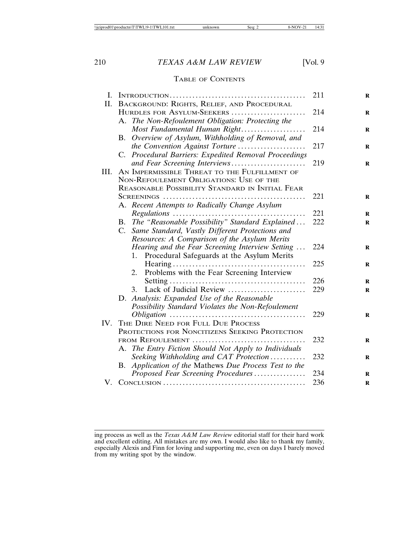# TABLE OF CONTENTS

| Ι.   |                                                              | 211 |
|------|--------------------------------------------------------------|-----|
| II.  | BACKGROUND: RIGHTS, RELIEF, AND PROCEDURAL                   |     |
|      | HURDLES FOR ASYLUM-SEEKERS                                   | 214 |
|      | A. The Non-Refoulement Obligation: Protecting the            |     |
|      | Most Fundamental Human Right                                 | 214 |
|      | Overview of Asylum, Withholding of Removal, and<br>В.        |     |
|      | the Convention Against Torture                               | 217 |
|      | C. Procedural Barriers: Expedited Removal Proceedings        |     |
|      | and Fear Screening Interviews                                | 219 |
| III. | AN IMPERMISSIBLE THREAT TO THE FULFILLMENT OF                |     |
|      | NON-REFOULEMENT OBLIGATIONS: USE OF THE                      |     |
|      | REASONABLE POSSIBILITY STANDARD IN INITIAL FEAR              |     |
|      |                                                              | 221 |
|      | A. Recent Attempts to Radically Change Asylum                |     |
|      |                                                              | 221 |
|      | The "Reasonable Possibility" Standard Explained<br><b>B.</b> | 222 |
|      | Same Standard, Vastly Different Protections and<br>C.        |     |
|      | Resources: A Comparison of the Asylum Merits                 |     |
|      | Hearing and the Fear Screening Interview Setting             | 224 |
|      | Procedural Safeguards at the Asylum Merits<br>1.             |     |
|      |                                                              | 225 |
|      | Problems with the Fear Screening Interview<br>2.             |     |
|      |                                                              | 226 |
|      | 3. Lack of Judicial Review                                   | 229 |
|      | D. Analysis: Expanded Use of the Reasonable                  |     |
|      | Possibility Standard Violates the Non-Refoulement            |     |
|      |                                                              | 229 |
| IV.  | THE DIRE NEED FOR FULL DUE PROCESS                           |     |
|      | PROTECTIONS FOR NONCITIZENS SEEKING PROTECTION               |     |
|      | FROM REFOULEMENT                                             | 232 |
|      | A. The Entry Fiction Should Not Apply to Individuals         |     |
|      | Seeking Withholding and CAT Protection                       | 232 |
|      | B. Application of the Mathews Due Process Test to the        |     |
|      | Proposed Fear Screening Procedures                           | 234 |
|      |                                                              | 236 |
|      |                                                              |     |

ing process as well as the *Texas A&M Law Review* editorial staff for their hard work and excellent editing. All mistakes are my own. I would also like to thank my family, especially Alexis and Finn for loving and supporting me, even on days I barely moved from my writing spot by the window.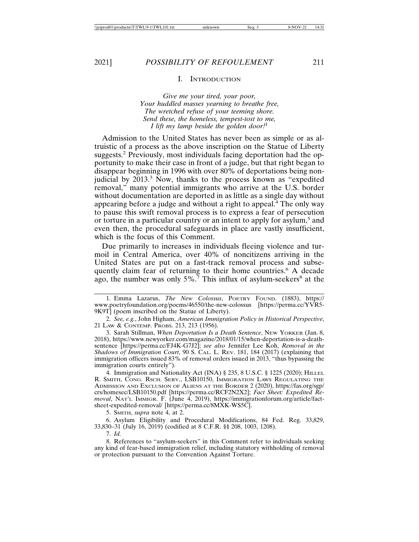#### I. INTRODUCTION

*Give me your tired, your poor, Your huddled masses yearning to breathe free, The wretched refuse of your teeming shore. Send these, the homeless, tempest-tost to me, I lift my lamp beside the golden door!*<sup>1</sup>

Admission to the United States has never been as simple or as altruistic of a process as the above inscription on the Statue of Liberty suggests.2 Previously, most individuals facing deportation had the opportunity to make their case in front of a judge, but that right began to disappear beginning in 1996 with over 80% of deportations being nonjudicial by 2013.<sup>3</sup> Now, thanks to the process known as "expedited removal," many potential immigrants who arrive at the U.S. border without documentation are deported in as little as a single day without appearing before a judge and without a right to appeal.<sup>4</sup> The only way to pause this swift removal process is to express a fear of persecution or torture in a particular country or an intent to apply for asylum,<sup>5</sup> and even then, the procedural safeguards in place are vastly insufficient, which is the focus of this Comment.

Due primarily to increases in individuals fleeing violence and turmoil in Central America, over 40% of noncitizens arriving in the United States are put on a fast-track removal process and subsequently claim fear of returning to their home countries.<sup>6</sup> A decade ago, the number was only  $5\%$ .<sup>7</sup> This influx of asylum-seekers<sup>8</sup> at the

3. Sarah Stillman, *When Deportation Is a Death Sentence*, NEW YORKER (Jan. 8, 2018), https://www.newyorker.com/magazine/2018/01/15/when-deportation-is-a-deathsentence [https://perma.cc/FJ4K-G7J2]; *see also* Jennifer Lee Koh, *Removal in the Shadows of Immigration Court*, 90 S. CAL. L. REV. 181, 184 (2017) (explaining that immigration officers issued 83% of removal orders issued in 2013, "thus bypassing the immigration courts entirely").

4. Immigration and Nationality Act (INA) § 235, 8 U.S.C. § 1225 (2020); HILLEL R. SMITH, CONG. RSCH. SERV., LSB10150, IMMIGRATION LAWS REGULATING THE ADMISSION AND EXCLUSION OF ALIENS AT THE BORDER 2 (2020), https://fas.org/sgp/ crs/homesec/LSB10150.pdf [https://perma.cc/RCF2N2X2]; *Fact Sheet: Expedited Removal*, NAT'L IMMIGR. F. (June 4, 2019), https://immigrationforum.org/article/factsheet-expedited-removal/ [https://perma.cc/8MXK-WS5C].

5. SMITH, *supra* note 4, at 2.

6. Asylum Eligibility and Procedural Modifications, 84 Fed. Reg. 33,829, 33,830–31 (July 16, 2019) (codified at 8 C.F.R. §§ 208, 1003, 1208).

7. *Id.*

8. References to "asylum-seekers" in this Comment refer to individuals seeking any kind of fear-based immigration relief, including statutory withholding of removal or protection pursuant to the Convention Against Torture.

<sup>1.</sup> Emma Lazarus, *The New Colossus*, POETRY FOUND. (1883), https:// www.poetryfoundation.org/poems/46550/the-new-colossus [https://perma.cc/YVR5- 9K9T] (poem inscribed on the Statue of Liberty).

<sup>2.</sup> *See, e.g.*, John Higham, *American Immigration Policy in Historical Perspective*, 21 LAW & CONTEMP. PROBS. 213, 213 (1956).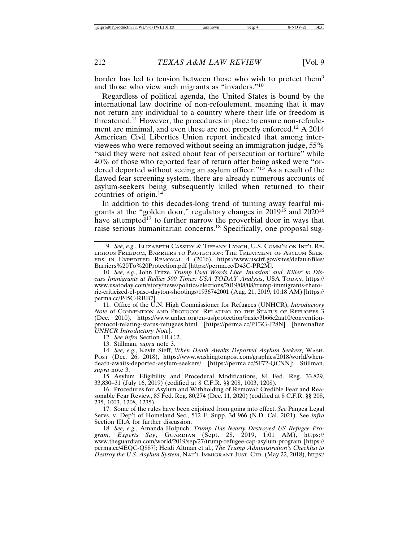border has led to tension between those who wish to protect them<sup>9</sup> and those who view such migrants as "invaders."<sup>10</sup>

Regardless of political agenda, the United States is bound by the international law doctrine of non-refoulement, meaning that it may not return any individual to a country where their life or freedom is threatened.11 However, the procedures in place to ensure non-refoulement are minimal, and even these are not properly enforced.<sup>12</sup> A 2014 American Civil Liberties Union report indicated that among interviewees who were removed without seeing an immigration judge, 55% "said they were not asked about fear of persecution or torture" while 40% of those who reported fear of return after being asked were "ordered deported without seeing an asylum officer."<sup>13</sup> As a result of the flawed fear screening system, there are already numerous accounts of asylum-seekers being subsequently killed when returned to their countries of origin.<sup>14</sup>

In addition to this decades-long trend of turning away fearful migrants at the "golden door," regulatory changes in 2019<sup>15</sup> and 2020<sup>16</sup> have attempted<sup>17</sup> to further narrow the proverbial door in ways that raise serious humanitarian concerns.18 Specifically, one proposal sug-

10. *See, e.g.*, John Fritze, *Trump Used Words Like 'Invasion' and 'Killer' to Discuss Immigrants at Rallies 500 Times: USA TODAY Analysis*, USA TODAY, https:// www.usatoday.com/story/news/politics/elections/2019/08/08/trump-immigrants-rhetoric-criticized-el-paso-dayton-shootings/1936742001 (Aug. 21, 2019, 10:18 AM) [https:// perma.cc/P45C-RBB7].

11. Office of the U.N. High Commissioner for Refugees (UNHCR), *Introductory Note* of CONVENTION AND PROTOCOL RELATING TO THE STATUS OF REFUGEES 3 (Dec. 2010), https://www.unhcr.org/en-us/protection/basic/3b66c2aa10/conventionprotocol-relating-status-refugees.html [https://perma.cc/PT3G-J28N] [hereinafter *UNHCR Introductory Note*].

12. *See infra* Section III.C.2.

13. Stillman, *supra* note 3.

14. *See, e.g.*, Kevin Sieff, *When Death Awaits Deported Asylum Seekers,* WASH. Post (Dec. 26, 2018), https://www.washingtonpost.com/graphics/2018/world/whendeath-awaits-deported-asylum-seekers/ [https://perma.cc/5F72-QCNN]; Stillman, *supra* note 3.

15. Asylum Eligibility and Procedural Modifications, 84 Fed. Reg. 33,829, 33,830–31 (July 16, 2019) (codified at 8 C.F.R. §§ 208, 1003, 1208).

16. Procedures for Asylum and Withholding of Removal; Credible Fear and Reasonable Fear Review, 85 Fed. Reg. 80,274 (Dec. 11, 2020) (codified at 8 C.F.R. §§ 208, 235, 1003, 1208, 1235).

17. Some of the rules have been enjoined from going into effect. *See* Pangea Legal Servs. v. Dep't of Homeland Sec., 512 F. Supp. 3d 966 (N.D. Cal. 2021). See *infra* Section III.A for further discussion.

18. *See, e.g.*, Amanda Holpuch, *Trump Has Nearly Destroyed US Refugee Pro-gram, Experts Say*, GUARDIAN (Sept. 28, 2019, 1:01 AM), https:// www.theguardian.com/world/2019/sep/27/trump-refugee-cap-asylum-program [https:// perma.cc/4EQC-Q887]; Heidi Altman et al., *The Trump Administration's Checklist to Destroy the U.S. Asylum System*, NAT'L IMMIGRANT JUST. CTR. (May 22, 2018), https:/

<sup>9.</sup> *See, e.g.*, ELIZABETH CASSIDY & TIFFANY LYNCH, U.S. COMM'N ON INT'L RE-LIGIOUS FREEDOM, BARRIERS TO PROTECTION: THE TREATMENT OF ASYLUM SEEK-ERS IN EXPEDITED REMOVAL 4 (2016), https://www.uscirf.gov/sites/default/files/ Barriers%20To%20Protection.pdf [https://perma.cc/D43C-PR2M].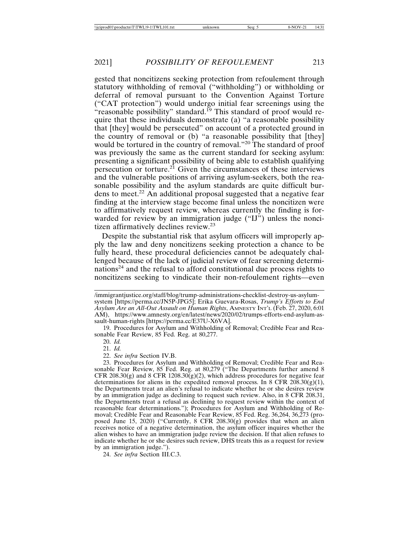gested that noncitizens seeking protection from refoulement through statutory withholding of removal ("withholding") or withholding or deferral of removal pursuant to the Convention Against Torture ("CAT protection") would undergo initial fear screenings using the "reasonable possibility" standard.<sup>19</sup> This standard of proof would require that these individuals demonstrate (a) "a reasonable possibility that [they] would be persecuted" on account of a protected ground in the country of removal or (b) "a reasonable possibility that [they] would be tortured in the country of removal."<sup>20</sup> The standard of proof was previously the same as the current standard for seeking asylum: presenting a significant possibility of being able to establish qualifying persecution or torture.21 Given the circumstances of these interviews and the vulnerable positions of arriving asylum-seekers, both the reasonable possibility and the asylum standards are quite difficult burdens to meet.<sup>22</sup> An additional proposal suggested that a negative fear finding at the interview stage become final unless the noncitizen were to affirmatively request review, whereas currently the finding is forwarded for review by an immigration judge ("IJ") unless the noncitizen affirmatively declines review.<sup>23</sup>

Despite the substantial risk that asylum officers will improperly apply the law and deny noncitizens seeking protection a chance to be fully heard, these procedural deficiencies cannot be adequately challenged because of the lack of judicial review of fear screening determinations<sup>24</sup> and the refusal to afford constitutional due process rights to noncitizens seeking to vindicate their non-refoulement rights—even

/immigrantjustice.org/staff/blog/trump-administrations-checklist-destroy-us-asylumsystem [https://perma.cc/JN5P-JPG5]; Erika Guevara-Rosas, *Trump's Efforts to End Asylum Are an All-Out Assault on Human Rights*, AMNESTY INT'L (Feb. 27, 2020, 6:01 AM), https://www.amnesty.org/en/latest/news/2020/02/trumps-efforts-end-asylum-assault-human-rights [https://perma.cc/E37U-X6VA].

19. Procedures for Asylum and Withholding of Removal; Credible Fear and Reasonable Fear Review, 85 Fed. Reg. at 80,277.

20. *Id.*

21. *Id.*

22. *See infra* Section IV.B.

23. Procedures for Asylum and Withholding of Removal; Credible Fear and Reasonable Fear Review, 85 Fed. Reg. at 80,279 ("The Departments further amend 8 CFR 208.30(g) and 8 CFR 1208.30(g)(2), which address procedures for negative fear determinations for aliens in the expedited removal process. In 8 CFR  $208.30(g)(1)$ , the Departments treat an alien's refusal to indicate whether he or she desires review by an immigration judge as declining to request such review. Also, in 8 CFR 208.31, the Departments treat a refusal as declining to request review within the context of reasonable fear determinations."); Procedures for Asylum and Withholding of Removal; Credible Fear and Reasonable Fear Review, 85 Fed. Reg. 36,264, 36,273 (proposed June 15, 2020) ("Currently, 8 CFR 208.30(g) provides that when an alien receives notice of a negative determination, the asylum officer inquires whether the alien wishes to have an immigration judge review the decision. If that alien refuses to indicate whether he or she desires such review, DHS treats this as a request for review by an immigration judge.").

24. *See infra* Section III.C.3.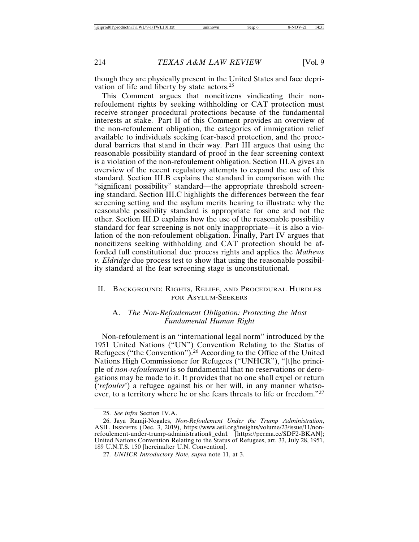though they are physically present in the United States and face deprivation of life and liberty by state actors.25

This Comment argues that noncitizens vindicating their nonrefoulement rights by seeking withholding or CAT protection must receive stronger procedural protections because of the fundamental interests at stake. Part II of this Comment provides an overview of the non-refoulement obligation, the categories of immigration relief available to individuals seeking fear-based protection, and the procedural barriers that stand in their way. Part III argues that using the reasonable possibility standard of proof in the fear screening context is a violation of the non-refoulement obligation. Section III.A gives an overview of the recent regulatory attempts to expand the use of this standard. Section III.B explains the standard in comparison with the "significant possibility" standard—the appropriate threshold screening standard. Section III.C highlights the differences between the fear screening setting and the asylum merits hearing to illustrate why the reasonable possibility standard is appropriate for one and not the other. Section III.D explains how the use of the reasonable possibility standard for fear screening is not only inappropriate—it is also a violation of the non-refoulement obligation. Finally, Part IV argues that noncitizens seeking withholding and CAT protection should be afforded full constitutional due process rights and applies the *Mathews v. Eldridge* due process test to show that using the reasonable possibility standard at the fear screening stage is unconstitutional.

#### II. BACKGROUND: RIGHTS, RELIEF, AND PROCEDURAL HURDLES FOR ASYLUM-SEEKERS

#### A. *The Non-Refoulement Obligation: Protecting the Most Fundamental Human Right*

Non-refoulement is an "international legal norm" introduced by the 1951 United Nations ("UN") Convention Relating to the Status of Refugees ("the Convention").26 According to the Office of the United Nations High Commissioner for Refugees ("UNHCR"), "[t]he principle of *non-refoulement* is so fundamental that no reservations or derogations may be made to it. It provides that no one shall expel or return ('*refouler*') a refugee against his or her will, in any manner whatsoever, to a territory where he or she fears threats to life or freedom."<sup>27</sup>

<sup>25.</sup> *See infra* Section IV.A.

<sup>26.</sup> Jaya Ramji-Nogales, *Non-Refoulement Under the Trump Administration*, ASIL INSIGHTS (Dec. 3, 2019), https://www.asil.org/insights/volume/23/issue/11/nonrefoulement-under-trump-administration#\_edn1 [https://perma.cc/SDF2-BKAN]; United Nations Convention Relating to the Status of Refugees, art. 33, July 28, 1951, 189 U.N.T.S. 150 [hereinafter U.N. Convention].

<sup>27.</sup> *UNHCR Introductory Note*, *supra* note 11, at 3.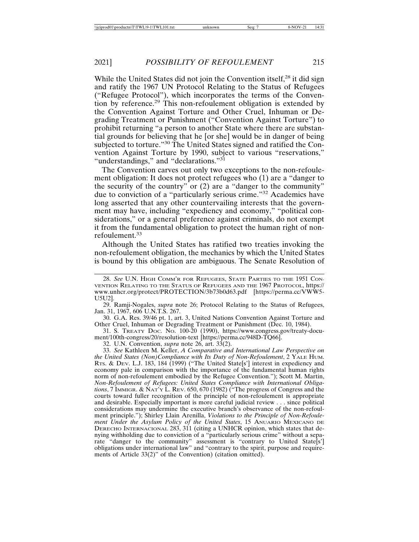While the United States did not join the Convention itself,<sup>28</sup> it did sign and ratify the 1967 UN Protocol Relating to the Status of Refugees ("Refugee Protocol"), which incorporates the terms of the Convention by reference.29 This non-refoulement obligation is extended by the Convention Against Torture and Other Cruel, Inhuman or Degrading Treatment or Punishment ("Convention Against Torture") to prohibit returning "a person to another State where there are substantial grounds for believing that he [or she] would be in danger of being subjected to torture."30 The United States signed and ratified the Convention Against Torture by 1990, subject to various "reservations," "understandings," and "declarations."<sup>31</sup>

The Convention carves out only two exceptions to the non-refoulement obligation: It does not protect refugees who (1) are a "danger to the security of the country" or (2) are a "danger to the community" due to conviction of a "particularly serious crime."32 Academics have long asserted that any other countervailing interests that the government may have, including "expediency and economy," "political considerations," or a general preference against criminals, do not exempt it from the fundamental obligation to protect the human right of nonrefoulement.33

Although the United States has ratified two treaties invoking the non-refoulement obligation, the mechanics by which the United States is bound by this obligation are ambiguous. The Senate Resolution of

30. G.A. Res. 39/46 pt. 1, art. 3, United Nations Convention Against Torture and Other Cruel, Inhuman or Degrading Treatment or Punishment (Dec. 10, 1984).

31. S. TREATY DOC. NO. 100-20 (1990), https://www.congress.gov/treaty-document/100th-congress/20/resolution-text [https://perma.cc/948D-TQ66].

32. U.N. Convention, *supra* note 26, art. 33(2).

33. *See* Kathleen M. Keller, *A Comparative and International Law Perspective on the United States (Non)Compliance with Its Duty of Non-Refoulement*, 2 YALE HUM. RTS. & DEV. L.J. 183, 184 (1999) ("The United State[s'] interest in expediency and economy pale in comparison with the importance of the fundamental human rights norm of non-refoulement embodied by the Refugee Convention."); Scott M. Martin, *Non-Refoulement of Refugees: United States Compliance with International Obligations*, 7 IMMIGR. & NAT'Y L. REV. 650, 670 (1982) ("The progress of Congress and the courts toward fuller recognition of the principle of non-refoulement is appropriate and desirable. Especially important is more careful judicial review . . . since political considerations may undermine the executive branch's observance of the non-refoulment principle."); Shirley Llain Arenilla, *Violations to the Principle of Non-Refoulement Under the Asylum Policy of the United States*, 15 ANUARIO MEXICANO DE DERECHO INTERNACIONAL 283, 311 (citing a UNHCR opinion, which states that denying withholding due to conviction of a "particularly serious crime" without a separate "danger to the community" assessment is "contrary to United State[s'] obligations under international law" and "contrary to the spirit, purpose and requirements of Article 33(2)" of the Convention) (citation omitted).

<sup>28.</sup> *See* U.N. HIGH COMM'R FOR REFUGEES, STATE PARTIES TO THE 1951 CON-VENTION RELATING TO THE STATUS OF REFUGEES AND THE 1967 PROTOCOL, https:// www.unhcr.org/protect/PROTECTION/3b73b0d63.pdf [https://perma.cc/VWW5- U5U2].

<sup>29.</sup> Ramji-Nogales, *supra* note 26; Protocol Relating to the Status of Refugees, Jan. 31, 1967, 606 U.N.T.S. 267.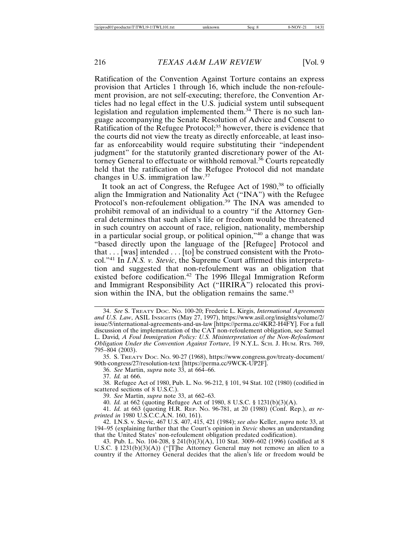Ratification of the Convention Against Torture contains an express provision that Articles 1 through 16, which include the non-refoulement provision, are not self-executing; therefore, the Convention Articles had no legal effect in the U.S. judicial system until subsequent legislation and regulation implemented them.<sup>34</sup> There is no such language accompanying the Senate Resolution of Advice and Consent to Ratification of the Refugee Protocol;<sup>35</sup> however, there is evidence that the courts did not view the treaty as directly enforceable, at least insofar as enforceability would require substituting their "independent judgment" for the statutorily granted discretionary power of the Attorney General to effectuate or withhold removal.<sup>36</sup> Courts repeatedly held that the ratification of the Refugee Protocol did not mandate changes in U.S. immigration law.<sup>37</sup>

It took an act of Congress, the Refugee Act of  $1980$ ,<sup>38</sup> to officially align the Immigration and Nationality Act ("INA") with the Refugee Protocol's non-refoulement obligation.<sup>39</sup> The INA was amended to prohibit removal of an individual to a country "if the Attorney General determines that such alien's life or freedom would be threatened in such country on account of race, religion, nationality, membership in a particular social group, or political opinion,"40 a change that was "based directly upon the language of the [Refugee] Protocol and that . . . [was] intended . . . [to] be construed consistent with the Protocol."41 In *I.N.S. v. Stevic*, the Supreme Court affirmed this interpretation and suggested that non-refoulement was an obligation that existed before codification.<sup>42</sup> The 1996 Illegal Immigration Reform and Immigrant Responsibility Act ("IIRIRA") relocated this provision within the INA, but the obligation remains the same. $43$ 

37. *Id.* at 666.

39. *See* Martin, *supra* note 33, at 662–63.

40. *Id.* at 662 (quoting Refugee Act of 1980, 8 U.S.C. § 1231(b)(3)(A).

41. *Id.* at 663 (quoting H.R. REP. NO. 96-781, at 20 (1980) (Conf. Rep.), *as reprinted in* 1980 U.S.C.C.A.N. 160, 161).

42. I.N.S. v. Stevic, 467 U.S. 407, 415, 421 (1984); *see also* Keller, *supra* note 33, at 194–95 (explaining further that the Court's opinion in *Stevic* shows an understanding that the United States' non-refoulement obligation predated codification).

43. Pub. L. No. 104-208, § 241(b)(3)(A), 110 Stat. 3009–602 (1996) (codified at 8 U.S.C. § 1231(b)(3)(A)) ("[T]he Attorney General may not remove an alien to a country if the Attorney General decides that the alien's life or freedom would be

<sup>34.</sup> *See* S. TREATY DOC. NO. 100-20; Frederic L. Kirgis, *International Agreements and U.S. Law*, ASIL INSIGHTS (May 27, 1997), https://www.asil.org/insights/volume/2/ issue/5/international-agreements-and-us-law [https://perma.cc/4KR2-H4FY]. For a full discussion of the implementation of the CAT non-refoulement obligation, see Samuel L. David*, A Foul Immigration Policy: U.S. Misinterpretation of the Non-Refoulement Obligation Under the Convention Against Torture*, 19 N.Y.L. SCH. J. HUM. RTS. 769, 795–804 (2003).

<sup>35.</sup> S. TREATY DOC. NO. 90-27 (1968), https://www.congress.gov/treaty-document/ 90th-congress/27/resolution-text [https://perma.cc/9WCK-UP2F].

<sup>36.</sup> *See* Martin, *supra* note 33, at 664–66.

<sup>38.</sup> Refugee Act of 1980, Pub. L. No. 96-212, § 101, 94 Stat. 102 (1980) (codified in scattered sections of 8 U.S.C.).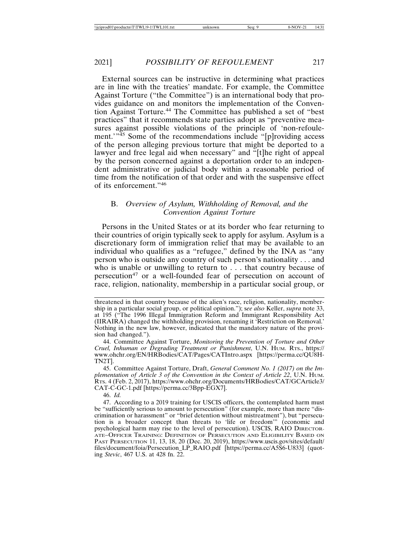External sources can be instructive in determining what practices are in line with the treaties' mandate. For example, the Committee Against Torture ("the Committee") is an international body that provides guidance on and monitors the implementation of the Convention Against Torture.44 The Committee has published a set of "best practices" that it recommends state parties adopt as "preventive measures against possible violations of the principle of 'non-refoulement.'<sup>345</sup> Some of the recommendations include "[p]roviding access of the person alleging previous torture that might be deported to a lawyer and free legal aid when necessary" and "[t]he right of appeal by the person concerned against a deportation order to an independent administrative or judicial body within a reasonable period of time from the notification of that order and with the suspensive effect of its enforcement."<sup>46</sup>

# B. *Overview of Asylum, Withholding of Removal, and the Convention Against Torture*

Persons in the United States or at its border who fear returning to their countries of origin typically seek to apply for asylum. Asylum is a discretionary form of immigration relief that may be available to an individual who qualifies as a "refugee," defined by the INA as "any person who is outside any country of such person's nationality . . . and who is unable or unwilling to return to . . . that country because of persecution<sup>47</sup> or a well-founded fear of persecution on account of race, religion, nationality, membership in a particular social group, or

46. *Id.*

threatened in that country because of the alien's race, religion, nationality, membership in a particular social group, or political opinion."); s*ee also* Keller, *supra* note 33, at 195 ("The 1996 Illegal Immigration Reform and Immigrant Responsibility Act (IIRAIRA) changed the withholding provision, renaming it 'Restriction on Removal.' Nothing in the new law, however, indicated that the mandatory nature of the provision had changed.").

<sup>44.</sup> Committee Against Torture, *Monitoring the Prevention of Torture and Other Cruel, Inhuman or Degrading Treatment or Punishment*, U.N. HUM. RTS., https:// www.ohchr.org/EN/HRBodies/CAT/Pages/CATIntro.aspx [https://perma.cc/QU8H-TN2T].

<sup>45.</sup> Committee Against Torture, Draft, *General Comment No. 1 (2017) on the Implementation of Article 3 of the Convention in the Context of Article 22*, U.N. HUM. RTS. 4 (Feb. 2, 2017), https://www.ohchr.org/Documents/HRBodies/CAT/GCArticle3/ CAT-C-GC-1.pdf [https://perma.cc/3Bpp-EGX7].

<sup>47.</sup> According to a 2019 training for USCIS officers, the contemplated harm must be "sufficiently serious to amount to persecution" (for example, more than mere "discrimination or harassment" or "brief detention without mistreatment"), but "persecution is a broader concept than threats to 'life or freedom'" (economic and psychological harm may rise to the level of persecution). USCIS, RAIO DIRECTOR-ATE–OFFICER TRAINING: DEFINITION OF PERSECUTION AND ELIGIBILITY BASED ON PAST PERSECUTION 11, 13, 18, 20 (Dec. 20, 2019), https://www.uscis.gov/sites/default/ files/document/foia/Persecution\_LP\_RAIO.pdf [https://perma.cc/A5S6-U833] (quoting *Stevic*, 467 U.S. at 428 fn. 22.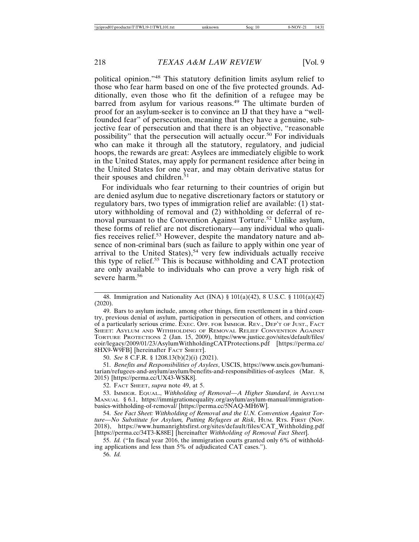political opinion."48 This statutory definition limits asylum relief to those who fear harm based on one of the five protected grounds. Additionally, even those who fit the definition of a refugee may be barred from asylum for various reasons.<sup>49</sup> The ultimate burden of proof for an asylum-seeker is to convince an IJ that they have a "wellfounded fear" of persecution, meaning that they have a genuine, subjective fear of persecution and that there is an objective, "reasonable possibility" that the persecution will actually occur.50 For individuals who can make it through all the statutory, regulatory, and judicial hoops, the rewards are great: Asylees are immediately eligible to work in the United States, may apply for permanent residence after being in the United States for one year, and may obtain derivative status for their spouses and children.<sup>51</sup>

For individuals who fear returning to their countries of origin but are denied asylum due to negative discretionary factors or statutory or regulatory bars, two types of immigration relief are available: (1) statutory withholding of removal and (2) withholding or deferral of removal pursuant to the Convention Against Torture.52 Unlike asylum, these forms of relief are not discretionary—any individual who qualifies receives relief.53 However, despite the mandatory nature and absence of non-criminal bars (such as failure to apply within one year of arrival to the United States),<sup>54</sup> very few individuals actually receive this type of relief.55 This is because withholding and CAT protection are only available to individuals who can prove a very high risk of severe harm.<sup>56</sup>

50. *See* 8 C.F.R. § 1208.13(b)(2)(i) (2021).

51. *Benefits and Responsibilities of Asylees*, USCIS, https://www.uscis.gov/humanitarian/refugees-and-asylum/asylum/benefits-and-responsibilities-of-asylees (Mar. 8, 2015) [https://perma.cc/UX43-WSK8].

52. FACT SHEET, *supra* note 49, at 5.

53. IMMIGR. EQUAL., *Withholding of Removal—A Higher Standard*, *in* ASYLUM MANUAL § 6.1, https://immigrationequality.org/asylum/asylum-manual/immigrationbasics-withholding-of-removal/ [https://perma.cc/5NAQ-MH6W].

54. *See Fact Sheet: Withholding of Removal and the U.N. Convention Against Torture—No Substitute for Asylum, Putting Refugees at Risk*, HUM. RTS. FIRST (Nov. 2018), https://www.humanrightsfirst.org/sites/default/files/CAT\_Withholding.pdf [https://perma.cc/34T3-K88E] [hereinafter *Withholding of Removal Fact Sheet*].

55. *Id.* ("In fiscal year 2016, the immigration courts granted only 6% of withholding applications and less than 5% of adjudicated CAT cases.").

56. *Id.*

<sup>48.</sup> Immigration and Nationality Act (INA) § 101(a)(42), 8 U.S.C. § 1101(a)(42) (2020).

<sup>49.</sup> Bars to asylum include, among other things, firm resettlement in a third country, previous denial of asylum, participation in persecution of others, and conviction of a particularly serious crime. EXEC. OFF. FOR IMMIGR. REV., DEP'T OF JUST., FACT SHEET: ASYLUM AND WITHHOLDING OF REMOVAL RELIEF CONVENTION AGAINST TORTURE PROTECTIONS 2 (Jan. 15, 2009), https://www.justice.gov/sites/default/files/ eoir/legacy/2009/01/23/AsylumWithholdingCATProtections.pdf [https://perma.cc/ 8HX9-W9FB] [hereinafter FACT SHEET].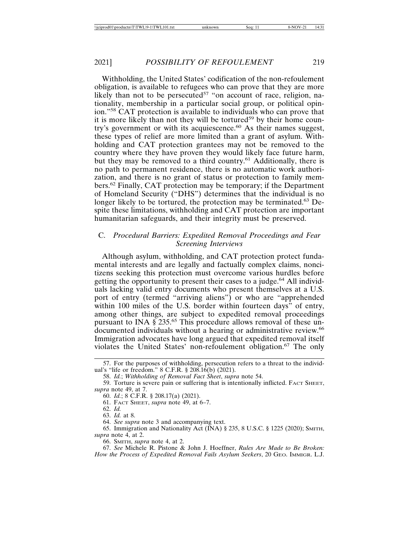Withholding, the United States' codification of the non-refoulement obligation, is available to refugees who can prove that they are more likely than not to be persecuted<sup>57</sup> "on account of race, religion, nationality, membership in a particular social group, or political opinion."58 CAT protection is available to individuals who can prove that it is more likely than not they will be tortured<sup>59</sup> by their home country's government or with its acquiescence.<sup>60</sup> As their names suggest, these types of relief are more limited than a grant of asylum. Withholding and CAT protection grantees may not be removed to the country where they have proven they would likely face future harm, but they may be removed to a third country.<sup>61</sup> Additionally, there is no path to permanent residence, there is no automatic work authorization, and there is no grant of status or protection to family members.62 Finally, CAT protection may be temporary; if the Department of Homeland Security ("DHS") determines that the individual is no longer likely to be tortured, the protection may be terminated.<sup>63</sup> Despite these limitations, withholding and CAT protection are important humanitarian safeguards, and their integrity must be preserved.

# C. *Procedural Barriers: Expedited Removal Proceedings and Fear Screening Interviews*

Although asylum, withholding, and CAT protection protect fundamental interests and are legally and factually complex claims, noncitizens seeking this protection must overcome various hurdles before getting the opportunity to present their cases to a judge.<sup>64</sup> All individuals lacking valid entry documents who present themselves at a U.S. port of entry (termed "arriving aliens") or who are "apprehended within 100 miles of the U.S. border within fourteen days" of entry, among other things, are subject to expedited removal proceedings pursuant to INA § 235.<sup>65</sup> This procedure allows removal of these undocumented individuals without a hearing or administrative review.<sup>66</sup> Immigration advocates have long argued that expedited removal itself violates the United States' non-refoulement obligation.<sup>67</sup> The only

<sup>57.</sup> For the purposes of withholding, persecution refers to a threat to the individual's "life or freedom." 8 C.F.R. § 208.16(b) (2021).

<sup>58.</sup> *Id.*; *Withholding of Removal Fact Sheet*, *supra* note 54.

<sup>59.</sup> Torture is severe pain or suffering that is intentionally inflicted. FACT SHEET, *supra* note 49, at 7.

<sup>60.</sup> *Id.*; 8 C.F.R. § 208.17(a) (2021).

<sup>61.</sup> FACT SHEET, *supra* note 49, at 6–7.

<sup>62.</sup> *Id.*

<sup>63.</sup> *Id.* at 8.

<sup>64.</sup> *See supra* note 3 and accompanying text.

<sup>65.</sup> Immigration and Nationality Act (INA) § 235, 8 U.S.C. § 1225 (2020); SMITH, *supra* note 4, at 2.

<sup>66.</sup> SMITH, *supra* note 4, at 2.

<sup>67.</sup> *See* Michele R. Pistone & John J. Hoeffner, *Rules Are Made to Be Broken: How the Process of Expedited Removal Fails Asylum Seekers*, 20 GEO. IMMIGR. L.J.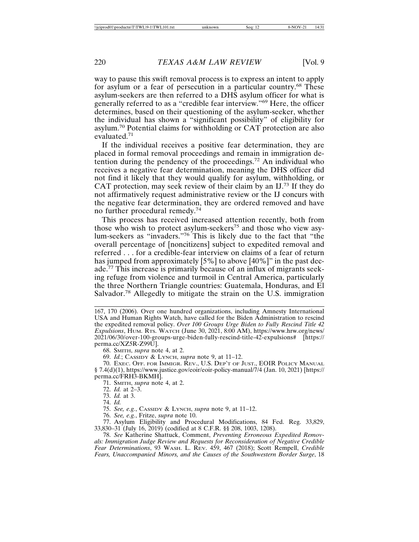way to pause this swift removal process is to express an intent to apply for asylum or a fear of persecution in a particular country.68 These asylum-seekers are then referred to a DHS asylum officer for what is generally referred to as a "credible fear interview."69 Here, the officer determines, based on their questioning of the asylum-seeker, whether the individual has shown a "significant possibility" of eligibility for asylum.70 Potential claims for withholding or CAT protection are also evaluated.71

If the individual receives a positive fear determination, they are placed in formal removal proceedings and remain in immigration detention during the pendency of the proceedings.72 An individual who receives a negative fear determination, meaning the DHS officer did not find it likely that they would qualify for asylum, withholding, or CAT protection, may seek review of their claim by an IJ.73 If they do not affirmatively request administrative review or the IJ concurs with the negative fear determination, they are ordered removed and have no further procedural remedy.<sup>74</sup>

This process has received increased attention recently, both from those who wish to protect asylum-seekers<sup>75</sup> and those who view asylum-seekers as "invaders."76 This is likely due to the fact that "the overall percentage of [noncitizens] subject to expedited removal and referred . . . for a credible-fear interview on claims of a fear of return has jumped from approximately [5%] to above [40%]" in the past decade.77 This increase is primarily because of an influx of migrants seeking refuge from violence and turmoil in Central America, particularly the three Northern Triangle countries: Guatemala, Honduras, and El Salvador.<sup>78</sup> Allegedly to mitigate the strain on the U.S. immigration

68. SMITH, *supra* note 4, at 2.

69. *Id.*; CASSIDY & LYNCH, *supra* note 9, at 11–12.

70. EXEC. OFF. FOR IMMIGR. REV., U.S. DEP'T OF JUST., EOIR POLICY MANUAL  $§ 7.4(d)(1)$ , https://www.justice.gov/eoir/eoir-policy-manual/7/4 (Jan. 10, 2021) [https:// perma.cc/FRH3-BKMH].

71. SMITH, *supra* note 4, at 2.

72. *Id.* at 2–3.

73. *Id.* at 3.

74. *Id.*

75. *See, e.g.*, CASSIDY & LYNCH, *supra* note 9, at 11–12.

76. *See, e.g.*, Fritze, *supra* note 10.

77. Asylum Eligibility and Procedural Modifications, 84 Fed. Reg. 33,829, 33,830–31 (July 16, 2019) (codified at 8 C.F.R. §§ 208, 1003, 1208).

78. *See* Katherine Shattuck, Comment, *Preventing Erroneous Expedited Removals: Immigration Judge Review and Requests for Reconsideration of Negative Credible Fear Determinations*, 93 WASH. L. REV. 459, 467 (2018); Scott Rempell, *Credible Fears, Unaccompanied Minors, and the Causes of the Southwestern Border Surge*, 18

<sup>167, 170 (2006).</sup> Over one hundred organizations, including Amnesty International USA and Human Rights Watch, have called for the Biden Administration to rescind the expedited removal policy. *Over 100 Groups Urge Biden to Fully Rescind Title 42 Expulsions*, HUM. RTS. WATCH (June 30, 2021, 8:00 AM), https://www.hrw.org/news/ 2021/06/30/over-100-groups-urge-biden-fully-rescind-title-42-expulsions# [https:// perma.cc/XZ5R-Z99U].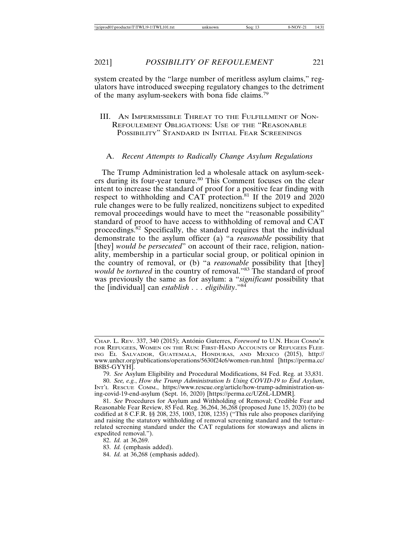system created by the "large number of meritless asylum claims," regulators have introduced sweeping regulatory changes to the detriment of the many asylum-seekers with bona fide claims.<sup>79</sup>

III. AN IMPERMISSIBLE THREAT TO THE FULFILLMENT OF NON-REFOULEMENT OBLIGATIONS: USE OF THE "REASONABLE POSSIBILITY" STANDARD IN INITIAL FEAR SCREENINGS

#### A. *Recent Attempts to Radically Change Asylum Regulations*

The Trump Administration led a wholesale attack on asylum-seekers during its four-year tenure.<sup>80</sup> This Comment focuses on the clear intent to increase the standard of proof for a positive fear finding with respect to withholding and CAT protection.<sup>81</sup> If the 2019 and 2020 rule changes were to be fully realized, noncitizens subject to expedited removal proceedings would have to meet the "reasonable possibility" standard of proof to have access to withholding of removal and CAT proceedings.82 Specifically, the standard requires that the individual demonstrate to the asylum officer (a) "a *reasonable* possibility that [they] *would be persecuted*" on account of their race, religion, nationality, membership in a particular social group, or political opinion in the country of removal, or (b) "a *reasonable* possibility that [they] *would be tortured* in the country of removal."<sup>83</sup> The standard of proof was previously the same as for asylum: a "*significant* possibility that the [individual] can *establish . . . eligibility*."84

79. *See* Asylum Eligibility and Procedural Modifications, 84 Fed. Reg. at 33,831.

80. *See, e.g.*, *How the Trump Administration Is Using COVID-19 to End Asylum*, INT'L RESCUE COMM., https://www.rescue.org/article/how-trump-administration-using-covid-19-end-asylum (Sept. 16, 2020) [https://perma.cc/UZ6L-LDMR].

84. *Id.* at 36,268 (emphasis added).

CHAP. L. REV. 337, 340 (2015); António Guterres, *Foreword* to U.N. HIGH COMM'R FOR REFUGEES, WOMEN ON THE RUN: FIRST-HAND ACCOUNTS OF REFUGEES FLEE-ING EL SALVADOR, GUATEMALA, HONDURAS, AND MEXICO (2015), http:// www.unhcr.org/publications/operations/5630f24c6/women-run.html [https://perma.cc/ B8B5-GYYH].

<sup>81.</sup> *See* Procedures for Asylum and Withholding of Removal; Credible Fear and Reasonable Fear Review, 85 Fed. Reg. 36,264, 36,268 (proposed June 15, 2020) (to be codified at 8 C.F.R. §§ 208, 235, 1003, 1208, 1235) ("This rule also proposes clarifying and raising the statutory withholding of removal screening standard and the torturerelated screening standard under the CAT regulations for stowaways and aliens in expedited removal.").

<sup>82.</sup> *Id.* at 36,269.

<sup>83.</sup> *Id.* (emphasis added).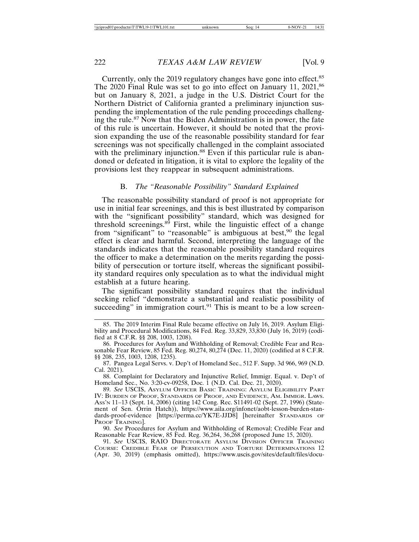Currently, only the 2019 regulatory changes have gone into effect.<sup>85</sup> The 2020 Final Rule was set to go into effect on January 11, 2021,<sup>86</sup> but on January 8, 2021, a judge in the U.S. District Court for the Northern District of California granted a preliminary injunction suspending the implementation of the rule pending proceedings challenging the rule.87 Now that the Biden Administration is in power, the fate of this rule is uncertain. However, it should be noted that the provision expanding the use of the reasonable possibility standard for fear screenings was not specifically challenged in the complaint associated with the preliminary injunction.<sup>88</sup> Even if this particular rule is abandoned or defeated in litigation, it is vital to explore the legality of the provisions lest they reappear in subsequent administrations.

#### B. *The "Reasonable Possibility" Standard Explained*

The reasonable possibility standard of proof is not appropriate for use in initial fear screenings, and this is best illustrated by comparison with the "significant possibility" standard, which was designed for threshold screenings. $8^{\circ}$  First, while the linguistic effect of a change from "significant" to "reasonable" is ambiguous at best,<sup>90</sup> the legal effect is clear and harmful. Second, interpreting the language of the standards indicates that the reasonable possibility standard requires the officer to make a determination on the merits regarding the possibility of persecution or torture itself, whereas the significant possibility standard requires only speculation as to what the individual might establish at a future hearing.

The significant possibility standard requires that the individual seeking relief "demonstrate a substantial and realistic possibility of succeeding" in immigration court.<sup>91</sup> This is meant to be a low screen-

<sup>85.</sup> The 2019 Interim Final Rule became effective on July 16, 2019. Asylum Eligibility and Procedural Modifications, 84 Fed. Reg. 33,829, 33,830 (July 16, 2019) (codified at 8 C.F.R. §§ 208, 1003, 1208).

<sup>86.</sup> Procedures for Asylum and Withholding of Removal; Credible Fear and Reasonable Fear Review, 85 Fed. Reg. 80,274, 80,274 (Dec. 11, 2020) (codified at 8 C.F.R. §§ 208, 235, 1003, 1208, 1235).

<sup>87.</sup> Pangea Legal Servs. v. Dep't of Homeland Sec., 512 F. Supp. 3d 966, 969 (N.D. Cal. 2021).

<sup>88.</sup> Complaint for Declaratory and Injunctive Relief, Immigr. Equal. v. Dep't of Homeland Sec., No. 3:20-cv-09258, Doc. 1 (N.D. Cal. Dec. 21, 2020).

<sup>89.</sup> *See* USCIS, ASYLUM OFFICER BASIC TRAINING: ASYLUM ELIGIBILITY PART IV: BURDEN OF PROOF, STANDARDS OF PROOF, AND EVIDENCE, AM. IMMIGR. LAWS. ASS'N 11–13 (Sept. 14, 2006) (citing 142 Cong. Rec. S11491-02 (Sept. 27, 1996) (Statement of Sen. Orrin Hatch)), https://www.aila.org/infonet/aobt-lesson-burden-standards-proof-evidence [https://perma.cc/YK7E-JJD8] [hereinafter STANDARDS OF PROOF TRAINING].

<sup>90.</sup> *See* Procedures for Asylum and Withholding of Removal; Credible Fear and Reasonable Fear Review, 85 Fed. Reg. 36,264, 36,268 (proposed June 15, 2020).

<sup>91.</sup> *See* USCIS, RAIO DIRECTORATE ASYLUM DIVISION OFFICER TRAINING COURSE: CREDIBLE FEAR OF PERSECUTION AND TORTURE DETERMINATIONS 12 (Apr. 30, 2019) (emphasis omitted), https://www.uscis.gov/sites/default/files/docu-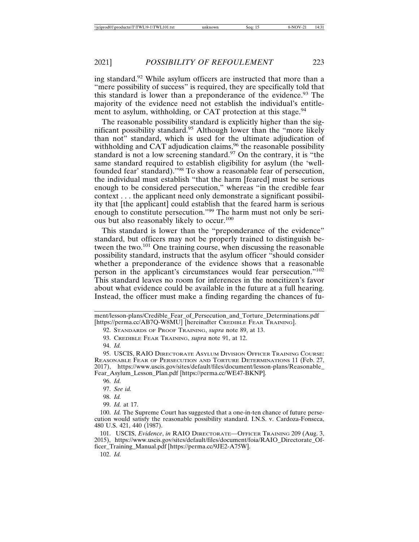ing standard.92 While asylum officers are instructed that more than a "mere possibility of success" is required, they are specifically told that this standard is lower than a preponderance of the evidence.<sup>93</sup> The majority of the evidence need not establish the individual's entitlement to asylum, withholding, or CAT protection at this stage.<sup>94</sup>

The reasonable possibility standard is explicitly higher than the significant possibility standard.95 Although lower than the "more likely than not" standard, which is used for the ultimate adjudication of withholding and CAT adjudication claims,<sup>96</sup> the reasonable possibility standard is not a low screening standard.<sup>97</sup> On the contrary, it is "the same standard required to establish eligibility for asylum (the 'wellfounded fear' standard)."98 To show a reasonable fear of persecution, the individual must establish "that the harm [feared] must be serious enough to be considered persecution," whereas "in the credible fear context . . . the applicant need only demonstrate a significant possibility that [the applicant] could establish that the feared harm is serious enough to constitute persecution."99 The harm must not only be serious but also reasonably likely to occur.<sup>100</sup>

This standard is lower than the "preponderance of the evidence" standard, but officers may not be properly trained to distinguish between the two.101 One training course, when discussing the reasonable possibility standard, instructs that the asylum officer "should consider whether a preponderance of the evidence shows that a reasonable person in the applicant's circumstances would fear persecution."<sup>102</sup> This standard leaves no room for inferences in the noncitizen's favor about what evidence could be available in the future at a full hearing. Instead, the officer must make a finding regarding the chances of fu-

99. *Id.* at 17.

102. *Id.*

ment/lesson-plans/Credible\_Fear\_of\_Persecution\_and\_Torture\_Determinations.pdf [https://perma.cc/AB7Q-W8MU] [hereinafter CREDIBLE FEAR TRAINING].

<sup>92.</sup> STANDARDS OF PROOF TRAINING, *supra* note 89, at 13.

<sup>93.</sup> CREDIBLE FEAR TRAINING, *supra* note 91, at 12.

<sup>94.</sup> *Id.*

<sup>95.</sup> USCIS, RAIO DIRECTORATE ASYLUM DIVISION OFFICER TRAINING COURSE: REASONABLE FEAR OF PERSECUTION AND TORTURE DETERMINATIONS 11 (Feb. 27, 2017), https://www.uscis.gov/sites/default/files/document/lesson-plans/Reasonable\_ Fear\_Asylum\_Lesson\_Plan.pdf [https://perma.cc/WE47-BKNP].

<sup>96.</sup> *Id.*

<sup>97.</sup> *See id.*

<sup>98.</sup> *Id.*

<sup>100.</sup> *Id.* The Supreme Court has suggested that a one-in-ten chance of future persecution would satisfy the reasonable possibility standard. I.N.S. v. Cardoza-Fonseca, 480 U.S. 421, 440 (1987).

<sup>101.</sup> USCIS, *Evidence*, *in* RAIO DIRECTORATE—OFFICER TRAINING 209 (Aug. 3, 2015), https://www.uscis.gov/sites/default/files/document/foia/RAIO\_Directorate\_Officer\_Training\_Manual.pdf [https://perma.cc/9JE2-A75W].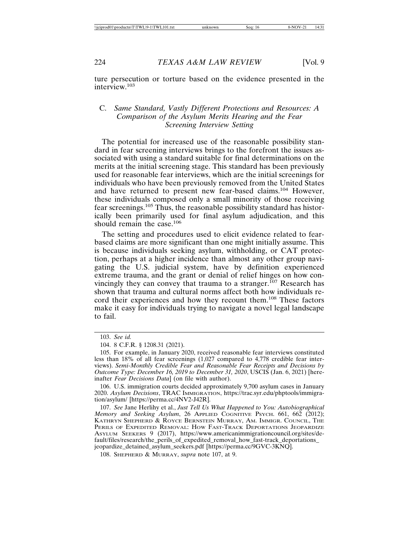ture persecution or torture based on the evidence presented in the interview.103

# C. *Same Standard, Vastly Different Protections and Resources: A Comparison of the Asylum Merits Hearing and the Fear Screening Interview Setting*

The potential for increased use of the reasonable possibility standard in fear screening interviews brings to the forefront the issues associated with using a standard suitable for final determinations on the merits at the initial screening stage. This standard has been previously used for reasonable fear interviews, which are the initial screenings for individuals who have been previously removed from the United States and have returned to present new fear-based claims.104 However, these individuals composed only a small minority of those receiving fear screenings.105 Thus, the reasonable possibility standard has historically been primarily used for final asylum adjudication, and this should remain the case.<sup>106</sup>

The setting and procedures used to elicit evidence related to fearbased claims are more significant than one might initially assume. This is because individuals seeking asylum, withholding, or CAT protection, perhaps at a higher incidence than almost any other group navigating the U.S. judicial system, have by definition experienced extreme trauma, and the grant or denial of relief hinges on how convincingly they can convey that trauma to a stranger.<sup>107</sup> Research has shown that trauma and cultural norms affect both how individuals record their experiences and how they recount them.108 These factors make it easy for individuals trying to navigate a novel legal landscape to fail.

106. U.S. immigration courts decided approximately 9,700 asylum cases in January 2020. *Asylum Decisions*, TRAC IMMIGRATION, https://trac.syr.edu/phptools/immigration/asylum/ [https://perma.cc/4NV2-J42R].

107. *See* Jane Herlihy et al., *Just Tell Us What Happened to You: Autobiographical Memory and Seeking Asylum*, 26 APPLIED COGNITIVE PSYCH. 661, 662 (2012); KATHRYN SHEPHERD & ROYCE BERNSTEIN MURRAY, AM. IMMIGR. COUNCIL, THE PERILS OF EXPEDITED REMOVAL: HOW FAST-TRACK DEPORTATIONS JEOPARDIZE ASYLUM SEEKERS 9 (2017), https://www.americanimmigrationcouncil.org/sites/default/files/research/the\_perils\_of\_expedited\_removal\_how\_fast-track\_deportations\_ jeopardize\_detained\_asylum\_seekers.pdf [https://perma.cc/9GVC-3KNQ].

108. SHEPHERD & MURRAY, *supra* note 107, at 9.

<sup>103.</sup> *See id.*

<sup>104. 8</sup> C.F.R. § 1208.31 (2021).

<sup>105.</sup> For example, in January 2020, received reasonable fear interviews constituted less than 18% of all fear screenings (1,027 compared to 4,778 credible fear interviews). *Semi-Monthly Credible Fear and Reasonable Fear Receipts and Decisions by Outcome Type: December 16, 2019 to December 31, 2020*, USCIS (Jan. 6, 2021) [hereinafter *Fear Decisions Data*] (on file with author).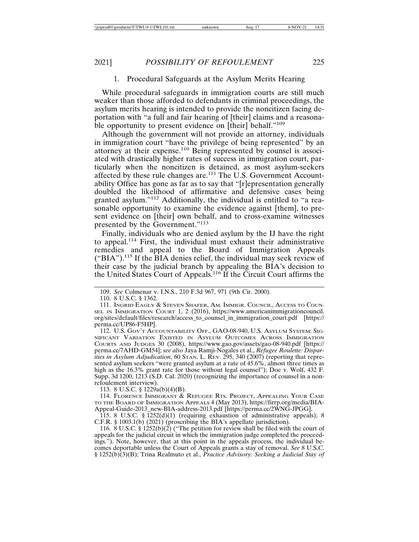#### 1. Procedural Safeguards at the Asylum Merits Hearing

While procedural safeguards in immigration courts are still much weaker than those afforded to defendants in criminal proceedings, the asylum merits hearing is intended to provide the noncitizen facing deportation with "a full and fair hearing of [their] claims and a reasonable opportunity to present evidence on [their] behalf."<sup>109</sup>

Although the government will not provide an attorney, individuals in immigration court "have the privilege of being represented" by an attorney at their expense.110 Being represented by counsel is associated with drastically higher rates of success in immigration court, particularly when the noncitizen is detained, as most asylum-seekers affected by these rule changes are.<sup>111</sup> The U.S. Government Accountability Office has gone as far as to say that "[r]epresentation generally doubled the likelihood of affirmative and defensive cases being granted asylum."112 Additionally, the individual is entitled to "a reasonable opportunity to examine the evidence against [them], to present evidence on [their] own behalf, and to cross-examine witnesses presented by the Government."<sup>113</sup>

Finally, individuals who are denied asylum by the IJ have the right to appeal.114 First, the individual must exhaust their administrative remedies and appeal to the Board of Immigration Appeals ("BIA").115 If the BIA denies relief, the individual may seek review of their case by the judicial branch by appealing the BIA's decision to the United States Court of Appeals.116 If the Circuit Court affirms the

110. 8 U.S.C. § 1362.

112. U.S. GOV'T ACCOUNTABILITY OFF., GAO-08-940, U.S. ASYLUM SYSTEM: SIG-NIFICANT VARIATION EXISTED IN ASYLUM OUTCOMES ACROSS IMMIGRATION COURTS AND JUDGES 30 (2008), https://www.gao.gov/assets/gao-08-940.pdf [https:// perma.cc/7AHD-GM54]; *see also* Jaya Ramji-Nogales et al., *Refugee Roulette: Disparities in Asylum Adjudication*, 60 STAN. L. REV. 295, 340 (2007) (reporting that represented asylum seekers "were granted asylum at a rate of 45.6%, almost three times as high as the 16.3% grant rate for those without legal counsel"); Doe v. Wolf, 432 F. Supp. 3d 1200, 1213 (S.D. Cal. 2020) (recognizing the importance of counsel in a nonrefoulement interview).

113. 8 U.S.C. § 1229a(b)(4)(B).

114. FLORENCE IMMIGRANT & REFUGEE RTS. PROJECT, APPEALING YOUR CASE TO THE BOARD OF IMMIGRATION APPEALS 4 (May 2013), https://firrp.org/media/BIA-Appeal-Guide-2013\_new-BIA-address-2013.pdf [https://perma.cc/2WNG-JPGG].

115. 8 U.S.C.  $\S 1252(d)(1)$  (requiring exhaustion of administrative appeals); 8 C.F.R. § 1003.1(b) (2021) (proscribing the BIA's appellate jurisdiction).

116. 8 U.S.C.  $\frac{1}{2}$  1252(b)(2) ("The petition for review shall be filed with the court of appeals for the judicial circuit in which the immigration judge completed the proceedings."). Note, however, that at this point in the appeals process, the individual becomes deportable unless the Court of Appeals grants a stay of removal. *See* 8 U.S.C. § 1252(b)(3)(B); Trina Realmuto et al., *Practice Advisory: Seeking a Judicial Stay of*

<sup>109.</sup> *See* Colmenar v. I.N.S., 210 F.3d 967, 971 (9th Cir. 2000).

<sup>111.</sup> INGRID EAGLY & STEVEN SHAFER, AM. IMMIGR. COUNCIL, ACCESS TO COUN-SEL IN IMMIGRATION COURT 1, 2 (2016), https://www.americanimmigrationcouncil. org/sites/default/files/research/access\_to\_counsel\_in\_immigration\_court.pdf [https:// perma.cc/UP86-F5HP].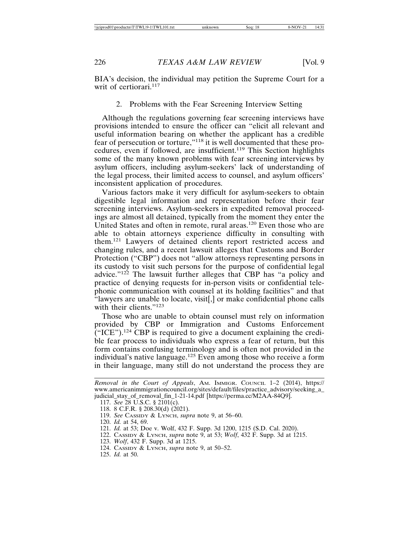BIA's decision, the individual may petition the Supreme Court for a writ of certiorari.<sup>117</sup>

#### 2. Problems with the Fear Screening Interview Setting

Although the regulations governing fear screening interviews have provisions intended to ensure the officer can "elicit all relevant and useful information bearing on whether the applicant has a credible fear of persecution or torture,"118 it is well documented that these procedures, even if followed, are insufficient.<sup>119</sup> This Section highlights some of the many known problems with fear screening interviews by asylum officers, including asylum-seekers' lack of understanding of the legal process, their limited access to counsel, and asylum officers' inconsistent application of procedures.

Various factors make it very difficult for asylum-seekers to obtain digestible legal information and representation before their fear screening interviews. Asylum-seekers in expedited removal proceedings are almost all detained, typically from the moment they enter the United States and often in remote, rural areas.<sup>120</sup> Even those who are able to obtain attorneys experience difficulty in consulting with them.121 Lawyers of detained clients report restricted access and changing rules, and a recent lawsuit alleges that Customs and Border Protection ("CBP") does not "allow attorneys representing persons in its custody to visit such persons for the purpose of confidential legal advice."122 The lawsuit further alleges that CBP has "a policy and practice of denying requests for in-person visits or confidential telephonic communication with counsel at its holding facilities" and that "lawyers are unable to locate, visit[,] or make confidential phone calls with their clients."<sup>123</sup>

Those who are unable to obtain counsel must rely on information provided by CBP or Immigration and Customs Enforcement ("ICE").124 CBP is required to give a document explaining the credible fear process to individuals who express a fear of return, but this form contains confusing terminology and is often not provided in the individual's native language.125 Even among those who receive a form in their language, many still do not understand the process they are

119. *See* CASSIDY & LYNCH, *supra* note 9, at 56–60.

- 123. *Wolf*, 432 F. Supp. 3d at 1215.
- 124. CASSIDY & LYNCH, *supra* note 9, at 50–52.
- 125. *Id.* at 50.

*Removal in the Court of Appeals*, AM. IMMIGR. COUNCIL 1–2 (2014), https:// www.americanimmigrationcouncil.org/sites/default/files/practice\_advisory/seeking\_a\_ judicial\_stay\_of\_removal\_fin\_1-21-14.pdf [https://perma.cc/M2AA-84Q9].

<sup>117.</sup> *See* 28 U.S.C. § 2101(c).

<sup>118. 8</sup> C.F.R. § 208.30(d) (2021).

<sup>120.</sup> *Id.* at 54, 69.

<sup>121.</sup> *Id.* at 53; Doe v. Wolf, 432 F. Supp. 3d 1200, 1215 (S.D. Cal. 2020).

<sup>122.</sup> CASSIDY & LYNCH, *supra* note 9, at 53; *Wolf*, 432 F. Supp. 3d at 1215.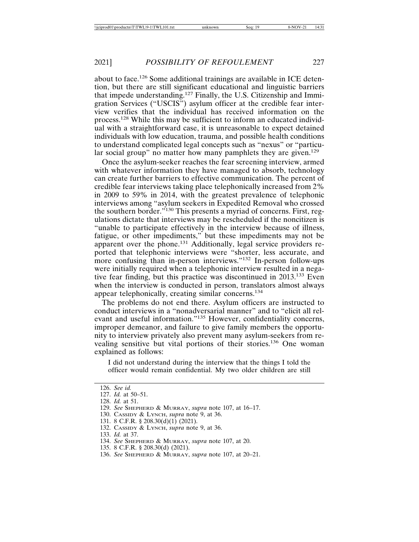about to face.126 Some additional trainings are available in ICE detention, but there are still significant educational and linguistic barriers that impede understanding.127 Finally, the U.S. Citizenship and Immigration Services ("USCIS") asylum officer at the credible fear interview verifies that the individual has received information on the process.128 While this may be sufficient to inform an educated individual with a straightforward case, it is unreasonable to expect detained individuals with low education, trauma, and possible health conditions to understand complicated legal concepts such as "nexus" or "particular social group" no matter how many pamphlets they are given.<sup>129</sup>

Once the asylum-seeker reaches the fear screening interview, armed with whatever information they have managed to absorb, technology can create further barriers to effective communication. The percent of credible fear interviews taking place telephonically increased from 2% in 2009 to 59% in 2014, with the greatest prevalence of telephonic interviews among "asylum seekers in Expedited Removal who crossed the southern border."130 This presents a myriad of concerns. First, regulations dictate that interviews may be rescheduled if the noncitizen is "unable to participate effectively in the interview because of illness, fatigue, or other impediments," but these impediments may not be apparent over the phone.131 Additionally, legal service providers reported that telephonic interviews were "shorter, less accurate, and more confusing than in-person interviews."132 In-person follow-ups were initially required when a telephonic interview resulted in a negative fear finding, but this practice was discontinued in 2013.133 Even when the interview is conducted in person, translators almost always appear telephonically, creating similar concerns.<sup>134</sup>

The problems do not end there. Asylum officers are instructed to conduct interviews in a "nonadversarial manner" and to "elicit all relevant and useful information."135 However, confidentiality concerns, improper demeanor, and failure to give family members the opportunity to interview privately also prevent many asylum-seekers from revealing sensitive but vital portions of their stories.136 One woman explained as follows:

I did not understand during the interview that the things I told the officer would remain confidential. My two older children are still

<sup>126.</sup> *See id.*

<sup>127.</sup> *Id.* at 50–51.

<sup>128.</sup> *Id.* at 51.

<sup>129.</sup> *See* SHEPHERD & MURRAY, *supra* note 107, at 16–17.

<sup>130.</sup> CASSIDY & LYNCH, *supra* note 9, at 36.

<sup>131. 8</sup> C.F.R. § 208.30(d)(1) (2021).

<sup>132.</sup> CASSIDY & LYNCH, *supra* note 9, at 36.

<sup>133.</sup> *Id.* at 37.

<sup>134.</sup> *See* SHEPHERD & MURRAY, *supra* note 107, at 20.

<sup>135. 8</sup> C.F.R. § 208.30(d) (2021).

<sup>136.</sup> *See* SHEPHERD & MURRAY, *supra* note 107, at 20–21.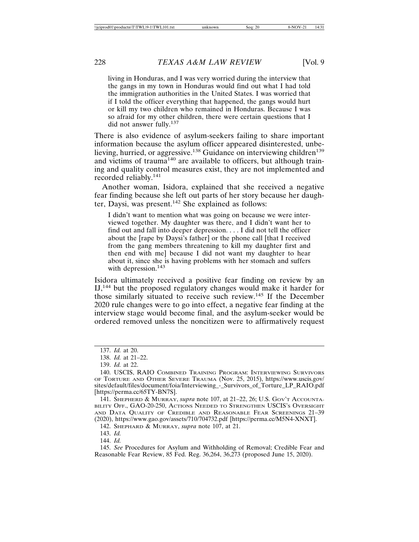living in Honduras, and I was very worried during the interview that the gangs in my town in Honduras would find out what I had told the immigration authorities in the United States. I was worried that if I told the officer everything that happened, the gangs would hurt or kill my two children who remained in Honduras. Because I was so afraid for my other children, there were certain questions that I did not answer fully.<sup>137</sup>

There is also evidence of asylum-seekers failing to share important information because the asylum officer appeared disinterested, unbelieving, hurried, or aggressive.<sup>138</sup> Guidance on interviewing children<sup>139</sup> and victims of trauma<sup> $140$ </sup> are available to officers, but although training and quality control measures exist, they are not implemented and recorded reliably.<sup>141</sup>

Another woman, Isidora, explained that she received a negative fear finding because she left out parts of her story because her daughter, Daysi, was present.<sup>142</sup> She explained as follows:

I didn't want to mention what was going on because we were interviewed together. My daughter was there, and I didn't want her to find out and fall into deeper depression. . . . I did not tell the officer about the [rape by Daysi's father] or the phone call [that I received from the gang members threatening to kill my daughter first and then end with me] because I did not want my daughter to hear about it, since she is having problems with her stomach and suffers with depression.<sup>143</sup>

Isidora ultimately received a positive fear finding on review by an IJ,144 but the proposed regulatory changes would make it harder for those similarly situated to receive such review.145 If the December 2020 rule changes were to go into effect, a negative fear finding at the interview stage would become final, and the asylum-seeker would be ordered removed unless the noncitizen were to affirmatively request

142. SHEPHARD & MURRAY, *supra* note 107, at 21.

143. *Id.*

144. *Id.*

145. *See* Procedures for Asylum and Withholding of Removal; Credible Fear and Reasonable Fear Review, 85 Fed. Reg. 36,264, 36,273 (proposed June 15, 2020).

<sup>137.</sup> *Id.* at 20.

<sup>138.</sup> *Id.* at 21–22.

<sup>139.</sup> *Id.* at 22.

<sup>140.</sup> USCIS, RAIO COMBINED TRAINING PROGRAM: INTERVIEWING SURVIVORS OF TORTURE AND OTHER SEVERE TRAUMA (Nov. 25, 2015), https://www.uscis.gov/ sites/default/files/document/foia/Interviewing\_-\_Survivors\_of\_Torture\_LP\_RAIO.pdf [https://perma.cc/65TY-BN7S].

<sup>141.</sup> SHEPHERD & MURRAY, *supra* note 107, at 21–22, 26; U.S. GOV'T ACCOUNTA-BILITY OFF., GAO-20-250, ACTIONS NEEDED TO STRENGTHEN USCIS'S OVERSIGHT AND DATA QUALITY OF CREDIBLE AND REASONABLE FEAR SCREENINGS 21–39 (2020), https://www.gao.gov/assets/710/704732.pdf [https://perma.cc/M5N4-XNXT].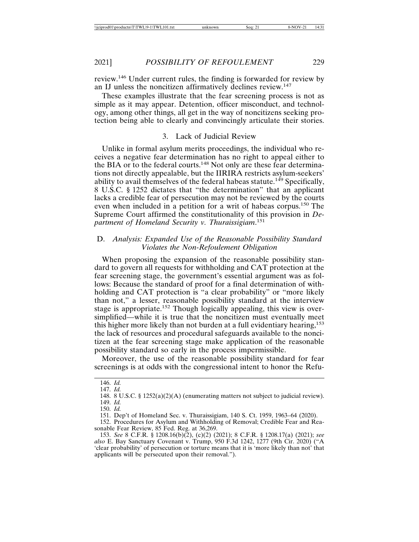review.146 Under current rules, the finding is forwarded for review by an IJ unless the noncitizen affirmatively declines review.<sup>147</sup>

These examples illustrate that the fear screening process is not as simple as it may appear. Detention, officer misconduct, and technology, among other things, all get in the way of noncitizens seeking protection being able to clearly and convincingly articulate their stories.

# 3. Lack of Judicial Review

Unlike in formal asylum merits proceedings, the individual who receives a negative fear determination has no right to appeal either to the BIA or to the federal courts.148 Not only are these fear determinations not directly appealable, but the IIRIRA restricts asylum-seekers' ability to avail themselves of the federal habeas statute.<sup>149</sup> Specifically, 8 U.S.C. § 1252 dictates that "the determination" that an applicant lacks a credible fear of persecution may not be reviewed by the courts even when included in a petition for a writ of habeas corpus.150 The Supreme Court affirmed the constitutionality of this provision in *Department of Homeland Security v. Thuraissigiam*. 151

# D. *Analysis: Expanded Use of the Reasonable Possibility Standard Violates the Non-Refoulement Obligation*

When proposing the expansion of the reasonable possibility standard to govern all requests for withholding and CAT protection at the fear screening stage, the government's essential argument was as follows: Because the standard of proof for a final determination of withholding and CAT protection is "a clear probability" or "more likely than not," a lesser, reasonable possibility standard at the interview stage is appropriate.<sup>152</sup> Though logically appealing, this view is oversimplified—while it is true that the noncitizen must eventually meet this higher more likely than not burden at a full evidentiary hearing,<sup>153</sup> the lack of resources and procedural safeguards available to the noncitizen at the fear screening stage make application of the reasonable possibility standard so early in the process impermissible.

Moreover, the use of the reasonable possibility standard for fear screenings is at odds with the congressional intent to honor the Refu-

<sup>146.</sup> *Id.*

<sup>147.</sup> *Id.*

<sup>148. 8</sup> U.S.C. §  $1252(a)(2)(A)$  (enumerating matters not subject to judicial review). 149. *Id.*

<sup>150.</sup> *Id.*

<sup>151.</sup> Dep't of Homeland Sec. v. Thuraissigiam, 140 S. Ct. 1959, 1963–64 (2020).

<sup>152.</sup> Procedures for Asylum and Withholding of Removal; Credible Fear and Reasonable Fear Review, 85 Fed. Reg. at 36,269.

<sup>153.</sup> *See* 8 C.F.R. § 1208.16(b)(2), (c)(2) (2021); 8 C.F.R. § 1208.17(a) (2021); *see also* E. Bay Sanctuary Covenant v. Trump, 950 F.3d 1242, 1277 (9th Cir. 2020) ("A 'clear probability' of persecution or torture means that it is 'more likely than not' that applicants will be persecuted upon their removal.").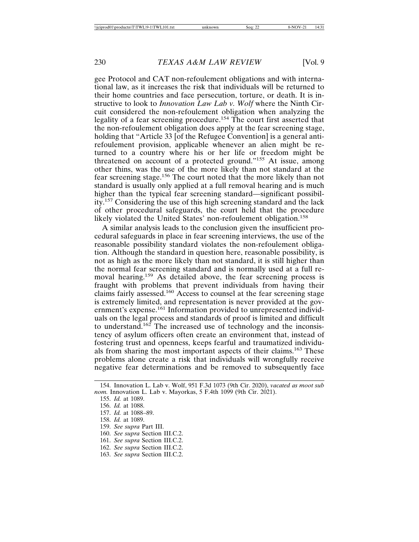gee Protocol and CAT non-refoulement obligations and with international law, as it increases the risk that individuals will be returned to their home countries and face persecution, torture, or death. It is instructive to look to *Innovation Law Lab v. Wolf* where the Ninth Circuit considered the non-refoulement obligation when analyzing the legality of a fear screening procedure.154 The court first asserted that the non-refoulement obligation does apply at the fear screening stage, holding that "Article 33 [of the Refugee Convention] is a general antirefoulement provision, applicable whenever an alien might be returned to a country where his or her life or freedom might be threatened on account of a protected ground."155 At issue, among other thins, was the use of the more likely than not standard at the fear screening stage.156 The court noted that the more likely than not standard is usually only applied at a full removal hearing and is much higher than the typical fear screening standard—significant possibility.157 Considering the use of this high screening standard and the lack of other procedural safeguards, the court held that the procedure likely violated the United States' non-refoulement obligation.<sup>158</sup>

A similar analysis leads to the conclusion given the insufficient procedural safeguards in place in fear screening interviews, the use of the reasonable possibility standard violates the non-refoulement obligation. Although the standard in question here, reasonable possibility, is not as high as the more likely than not standard, it is still higher than the normal fear screening standard and is normally used at a full removal hearing.159 As detailed above, the fear screening process is fraught with problems that prevent individuals from having their claims fairly assessed.160 Access to counsel at the fear screening stage is extremely limited, and representation is never provided at the government's expense.<sup>161</sup> Information provided to unrepresented individuals on the legal process and standards of proof is limited and difficult to understand.<sup>162</sup> The increased use of technology and the inconsistency of asylum officers often create an environment that, instead of fostering trust and openness, keeps fearful and traumatized individuals from sharing the most important aspects of their claims.163 These problems alone create a risk that individuals will wrongfully receive negative fear determinations and be removed to subsequently face

- 158. *Id.* at 1089.
- 159. *See supra* Part III.
- 160. *See supra* Section III.C.2.
- 161. *See supra* Section III.C.2.
- 162. *See supra* Section III.C.2.
- 163. *See supra* Section III.C.2.

<sup>154.</sup> Innovation L. Lab v. Wolf, 951 F.3d 1073 (9th Cir. 2020), *vacated as moot sub nom.* Innovation L. Lab v. Mayorkas, 5 F.4th 1099 (9th Cir. 2021).

<sup>155.</sup> *Id.* at 1089.

<sup>156.</sup> *Id.* at 1088.

<sup>157.</sup> *Id.* at 1088–89.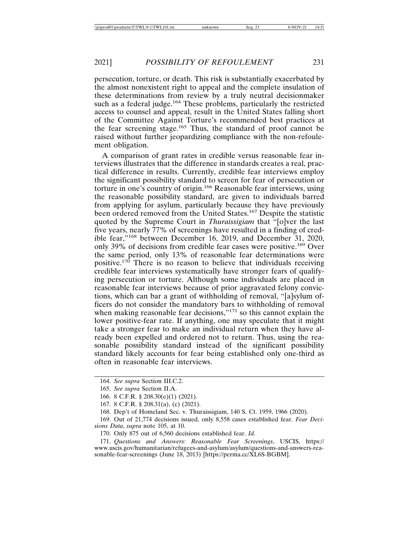persecution, torture, or death. This risk is substantially exacerbated by the almost nonexistent right to appeal and the complete insulation of these determinations from review by a truly neutral decisionmaker such as a federal judge.<sup>164</sup> These problems, particularly the restricted access to counsel and appeal, result in the United States falling short of the Committee Against Torture's recommended best practices at the fear screening stage.165 Thus, the standard of proof cannot be raised without further jeopardizing compliance with the non-refoulement obligation.

A comparison of grant rates in credible versus reasonable fear interviews illustrates that the difference in standards creates a real, practical difference in results. Currently, credible fear interviews employ the significant possibility standard to screen for fear of persecution or torture in one's country of origin.166 Reasonable fear interviews, using the reasonable possibility standard, are given to individuals barred from applying for asylum, particularly because they have previously been ordered removed from the United States.<sup>167</sup> Despite the statistic quoted by the Supreme Court in *Thuraissigiam* that "[o]ver the last five years, nearly 77% of screenings have resulted in a finding of credible fear,"168 between December 16, 2019, and December 31, 2020, only 39% of decisions from credible fear cases were positive.<sup>169</sup> Over the same period, only 13% of reasonable fear determinations were positive.<sup>170</sup> There is no reason to believe that individuals receiving credible fear interviews systematically have stronger fears of qualifying persecution or torture. Although some individuals are placed in reasonable fear interviews because of prior aggravated felony convictions, which can bar a grant of withholding of removal, "[a]sylum officers do not consider the mandatory bars to withholding of removal when making reasonable fear decisions,"<sup>171</sup> so this cannot explain the lower positive-fear rate. If anything, one may speculate that it might take a stronger fear to make an individual return when they have already been expelled and ordered not to return. Thus, using the reasonable possibility standard instead of the significant possibility standard likely accounts for fear being established only one-third as often in reasonable fear interviews.

<sup>164.</sup> *See supra* Section III.C.2.

<sup>165.</sup> *See supra* Section II.A.

<sup>166. 8</sup> C.F.R. § 208.30(e)(1) (2021).

<sup>167. 8</sup> C.F.R. § 208.31(a), (c) (2021).

<sup>168.</sup> Dep't of Homeland Sec. v. Thuraissigiam, 140 S. Ct. 1959, 1966 (2020).

<sup>169.</sup> Out of 21,774 decisions issued, only 8,558 cases established fear. *Fear Decisions Data*, *supra* note 105, at 10.

<sup>170.</sup> Only 875 out of 6,560 decisions established fear. *Id.*

<sup>171.</sup> *Questions and Answers: Reasonable Fear Screenings*, USCIS, https:// www.uscis.gov/humanitarian/refugees-and-asylum/asylum/questions-and-answers-reasonable-fear-screenings (June 18, 2013) [https://perma.cc/XL6S-BGBM].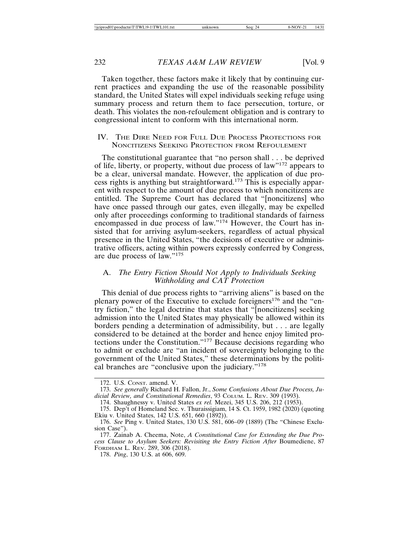Taken together, these factors make it likely that by continuing current practices and expanding the use of the reasonable possibility standard, the United States will expel individuals seeking refuge using summary process and return them to face persecution, torture, or death. This violates the non-refoulement obligation and is contrary to congressional intent to conform with this international norm.

#### IV. THE DIRE NEED FOR FULL DUE PROCESS PROTECTIONS FOR NONCITIZENS SEEKING PROTECTION FROM REFOULEMENT

The constitutional guarantee that "no person shall . . . be deprived of life, liberty, or property, without due process of law"172 appears to be a clear, universal mandate. However, the application of due process rights is anything but straightforward.173 This is especially apparent with respect to the amount of due process to which noncitizens are entitled. The Supreme Court has declared that "[noncitizens] who have once passed through our gates, even illegally, may be expelled only after proceedings conforming to traditional standards of fairness encompassed in due process of law."174 However, the Court has insisted that for arriving asylum-seekers, regardless of actual physical presence in the United States, "the decisions of executive or administrative officers, acting within powers expressly conferred by Congress, are due process of law."175

# A. *The Entry Fiction Should Not Apply to Individuals Seeking Withholding and CAT Protection*

This denial of due process rights to "arriving aliens" is based on the plenary power of the Executive to exclude foreigners<sup>176</sup> and the "entry fiction," the legal doctrine that states that "[noncitizens] seeking admission into the United States may physically be allowed within its borders pending a determination of admissibility, but . . . are legally considered to be detained at the border and hence enjoy limited protections under the Constitution."177 Because decisions regarding who to admit or exclude are "an incident of sovereignty belonging to the government of the United States," these determinations by the political branches are "conclusive upon the judiciary."<sup>178</sup>

<sup>172.</sup> U.S. CONST. amend. V.

<sup>173.</sup> *See generally* Richard H. Fallon, Jr., *Some Confusions About Due Process, Judicial Review, and Constitutional Remedies*, 93 COLUM. L. REV. 309 (1993).

<sup>174.</sup> Shaughnessy v. United States *ex rel.* Mezei, 345 U.S. 206, 212 (1953).

<sup>175.</sup> Dep't of Homeland Sec. v. Thuraissigiam, 14 S. Ct. 1959, 1982 (2020) (quoting Ekiu v. United States, 142 U.S. 651, 660 (1892)).

<sup>176.</sup> *See* Ping v. United States, 130 U.S. 581, 606–09 (1889) (The "Chinese Exclusion Case").

<sup>177.</sup> Zainab A. Cheema, Note, *A Constitutional Case for Extending the Due Process Clause to Asylum Seekers: Revisiting the Entry Fiction After* Boumediene, 87 FORDHAM L. REV. 289, 306 (2018).

<sup>178.</sup> *Ping*, 130 U.S. at 606, 609.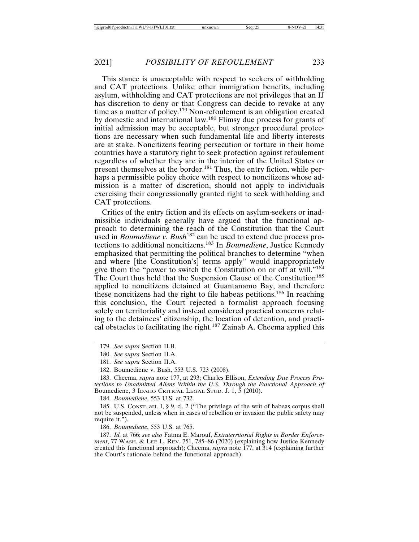This stance is unacceptable with respect to seekers of withholding and CAT protections. Unlike other immigration benefits, including asylum, withholding and CAT protections are not privileges that an IJ has discretion to deny or that Congress can decide to revoke at any time as a matter of policy.<sup>179</sup> Non-refoulement is an obligation created by domestic and international law.180 Flimsy due process for grants of initial admission may be acceptable, but stronger procedural protections are necessary when such fundamental life and liberty interests are at stake. Noncitizens fearing persecution or torture in their home countries have a statutory right to seek protection against refoulement regardless of whether they are in the interior of the United States or present themselves at the border.<sup>181</sup> Thus, the entry fiction, while perhaps a permissible policy choice with respect to noncitizens whose admission is a matter of discretion, should not apply to individuals exercising their congressionally granted right to seek withholding and CAT protections.

Critics of the entry fiction and its effects on asylum-seekers or inadmissible individuals generally have argued that the functional approach to determining the reach of the Constitution that the Court used in *Boumediene v. Bush*<sup>182</sup> can be used to extend due process protections to additional noncitizens.183 In *Boumediene*, Justice Kennedy emphasized that permitting the political branches to determine "when and where [the Constitution's] terms apply" would inappropriately give them the "power to switch the Constitution on or off at will."<sup>184</sup> The Court thus held that the Suspension Clause of the Constitution<sup>185</sup> applied to noncitizens detained at Guantanamo Bay, and therefore these noncitizens had the right to file habeas petitions.186 In reaching this conclusion, the Court rejected a formalist approach focusing solely on territoriality and instead considered practical concerns relating to the detainees' citizenship, the location of detention, and practical obstacles to facilitating the right.<sup>187</sup> Zainab A. Cheema applied this

184. *Boumediene*, 553 U.S. at 732.

185. U.S. CONST. art. I, § 9, cl. 2 ("The privilege of the writ of habeas corpus shall not be suspended, unless when in cases of rebellion or invasion the public safety may require it.").

186. *Boumediene*, 553 U.S. at 765.

187. *Id.* at 766; *see also* Fatma E. Marouf, *Extraterritorial Rights in Border Enforcement*, 77 WASH. & LEE L. REV. 751, 785–86 (2020) (explaining how Justice Kennedy created this functional approach); Cheema, *supra* note 177, at 314 (explaining further the Court's rationale behind the functional approach).

<sup>179.</sup> *See supra* Section II.B.

<sup>180.</sup> *See supra* Section II.A.

<sup>181.</sup> *See supra* Section II.A.

<sup>182.</sup> Boumediene v. Bush, 553 U.S. 723 (2008).

<sup>183.</sup> Cheema, *supra* note 177, at 293; Charles Ellison, *Extending Due Process Protections to Unadmitted Aliens Within the U.S. Through the Functional Approach of* Boumediene, 3 IDAHO CRITICAL LEGAL STUD. J. 1, 5 (2010).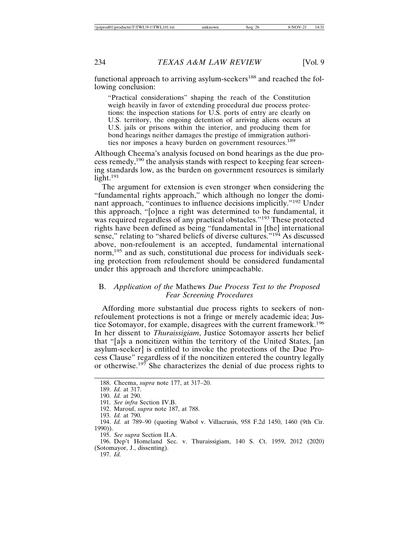functional approach to arriving asylum-seekers<sup>188</sup> and reached the following conclusion:

"Practical considerations" shaping the reach of the Constitution weigh heavily in favor of extending procedural due process protections: the inspection stations for U.S. ports of entry are clearly on U.S. territory, the ongoing detention of arriving aliens occurs at U.S. jails or prisons within the interior, and producing them for bond hearings neither damages the prestige of immigration authorities nor imposes a heavy burden on government resources.<sup>189</sup>

Although Cheema's analysis focused on bond hearings as the due process remedy,190 the analysis stands with respect to keeping fear screening standards low, as the burden on government resources is similarly light.<sup>191</sup>

The argument for extension is even stronger when considering the "fundamental rights approach," which although no longer the dominant approach, "continues to influence decisions implicitly."192 Under this approach, "[o]nce a right was determined to be fundamental, it was required regardless of any practical obstacles."<sup>193</sup> These protected rights have been defined as being "fundamental in [the] international sense," relating to "shared beliefs of diverse cultures."<sup>194</sup> As discussed above, non-refoulement is an accepted, fundamental international norm,<sup>195</sup> and as such, constitutional due process for individuals seeking protection from refoulement should be considered fundamental under this approach and therefore unimpeachable.

# B. *Application of the* Mathews *Due Process Test to the Proposed Fear Screening Procedures*

Affording more substantial due process rights to seekers of nonrefoulement protections is not a fringe or merely academic idea; Justice Sotomayor, for example, disagrees with the current framework.196 In her dissent to *Thuraissigiam*, Justice Sotomayor asserts her belief that "[a]s a noncitizen within the territory of the United States, [an asylum-seeker] is entitled to invoke the protections of the Due Process Clause" regardless of if the noncitizen entered the country legally or otherwise.<sup>197</sup> She characterizes the denial of due process rights to

197. *Id.*

<sup>188.</sup> Cheema, *supra* note 177, at 317–20.

<sup>189.</sup> *Id.* at 317.

<sup>190.</sup> *Id.* at 290.

<sup>191.</sup> *See infra* Section IV.B.

<sup>192.</sup> Marouf, *supra* note 187, at 788.

<sup>193.</sup> *Id.* at 790.

<sup>194.</sup> *Id.* at 789–90 (quoting Wabol v. Villacrusis, 958 F.2d 1450, 1460 (9th Cir. 1990)).

<sup>195.</sup> *See supra* Section II.A.

<sup>196.</sup> Dep't Homeland Sec. v. Thuraissigiam, 140 S. Ct. 1959, 2012 (2020) (Sotomayor, J., dissenting).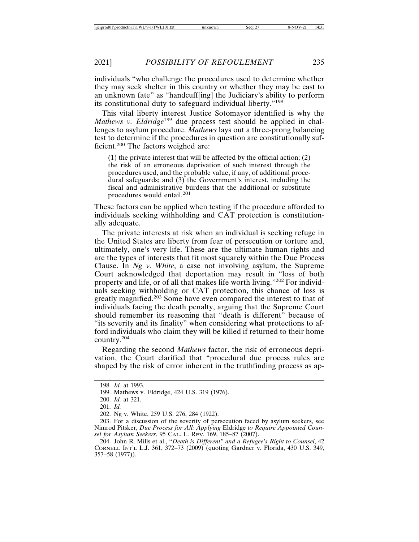individuals "who challenge the procedures used to determine whether they may seek shelter in this country or whether they may be cast to an unknown fate" as "handcuff[ing] the Judiciary's ability to perform its constitutional duty to safeguard individual liberty."<sup>198</sup>

This vital liberty interest Justice Sotomayor identified is why the *Mathews v. Eldridge*<sup>199</sup> due process test should be applied in challenges to asylum procedure. *Mathews* lays out a three-prong balancing test to determine if the procedures in question are constitutionally sufficient.200 The factors weighed are:

(1) the private interest that will be affected by the official action; (2) the risk of an erroneous deprivation of such interest through the procedures used, and the probable value, if any, of additional procedural safeguards; and (3) the Government's interest, including the fiscal and administrative burdens that the additional or substitute procedures would entail.<sup>201</sup>

These factors can be applied when testing if the procedure afforded to individuals seeking withholding and CAT protection is constitutionally adequate.

The private interests at risk when an individual is seeking refuge in the United States are liberty from fear of persecution or torture and, ultimately, one's very life. These are the ultimate human rights and are the types of interests that fit most squarely within the Due Process Clause. In *Ng v. White*, a case not involving asylum, the Supreme Court acknowledged that deportation may result in "loss of both property and life, or of all that makes life worth living."202 For individuals seeking withholding or CAT protection, this chance of loss is greatly magnified.203 Some have even compared the interest to that of individuals facing the death penalty, arguing that the Supreme Court should remember its reasoning that "death is different" because of "its severity and its finality" when considering what protections to afford individuals who claim they will be killed if returned to their home country.204

Regarding the second *Mathews* factor, the risk of erroneous deprivation, the Court clarified that "procedural due process rules are shaped by the risk of error inherent in the truthfinding process as ap-

<sup>198.</sup> *Id.* at 1993.

<sup>199.</sup> Mathews v. Eldridge, 424 U.S. 319 (1976).

<sup>200.</sup> *Id.* at 321.

<sup>201.</sup> *Id.*

<sup>202.</sup> Ng v. White, 259 U.S. 276, 284 (1922).

<sup>203.</sup> For a discussion of the severity of persecution faced by asylum seekers, see Nimrod Pitsker, *Due Process for All: Applying* Eldridge *to Require Appointed Counsel for Asylum Seekers*, 95 CAL. L. REV. 169, 185–87 (2007).

<sup>204.</sup> John R. Mills et al., "*Death is Different" and a Refugee's Right to Counsel*, 42 CORNELL INT'L L.J. 361, 372–73 (2009) (quoting Gardner v. Florida, 430 U.S. 349, 357–58 (1977)).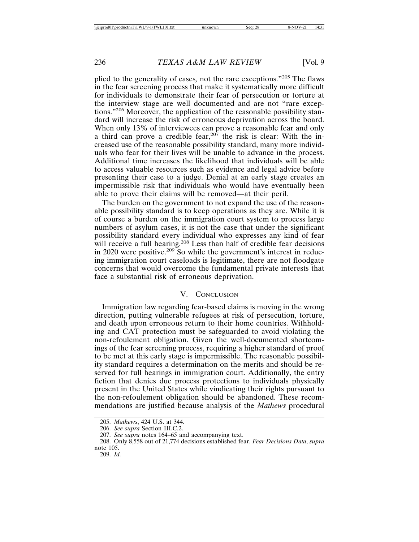plied to the generality of cases*,* not the rare exceptions."205 The flaws in the fear screening process that make it systematically more difficult for individuals to demonstrate their fear of persecution or torture at the interview stage are well documented and are not "rare exceptions."206 Moreover, the application of the reasonable possibility standard will increase the risk of erroneous deprivation across the board. When only 13% of interviewees can prove a reasonable fear and only a third can prove a credible fear,<sup>207</sup> the risk is clear: With the increased use of the reasonable possibility standard, many more individuals who fear for their lives will be unable to advance in the process. Additional time increases the likelihood that individuals will be able to access valuable resources such as evidence and legal advice before presenting their case to a judge. Denial at an early stage creates an impermissible risk that individuals who would have eventually been able to prove their claims will be removed—at their peril.

The burden on the government to not expand the use of the reasonable possibility standard is to keep operations as they are. While it is of course a burden on the immigration court system to process large numbers of asylum cases, it is not the case that under the significant possibility standard every individual who expresses any kind of fear will receive a full hearing.<sup>208</sup> Less than half of credible fear decisions in 2020 were positive.<sup>209</sup> So while the government's interest in reducing immigration court caseloads is legitimate, there are not floodgate concerns that would overcome the fundamental private interests that face a substantial risk of erroneous deprivation.

#### V. CONCLUSION

Immigration law regarding fear-based claims is moving in the wrong direction, putting vulnerable refugees at risk of persecution, torture, and death upon erroneous return to their home countries. Withholding and CAT protection must be safeguarded to avoid violating the non-refoulement obligation. Given the well-documented shortcomings of the fear screening process, requiring a higher standard of proof to be met at this early stage is impermissible. The reasonable possibility standard requires a determination on the merits and should be reserved for full hearings in immigration court. Additionally, the entry fiction that denies due process protections to individuals physically present in the United States while vindicating their rights pursuant to the non-refoulement obligation should be abandoned. These recommendations are justified because analysis of the *Mathews* procedural

<sup>205.</sup> *Mathews*, 424 U.S. at 344.

<sup>206.</sup> *See supra* Section III.C.2.

<sup>207.</sup> *See supra* notes 164–65 and accompanying text.

<sup>208.</sup> Only 8,558 out of 21,774 decisions established fear. *Fear Decisions Data*, *supra* note 105.

<sup>209.</sup> *Id.*